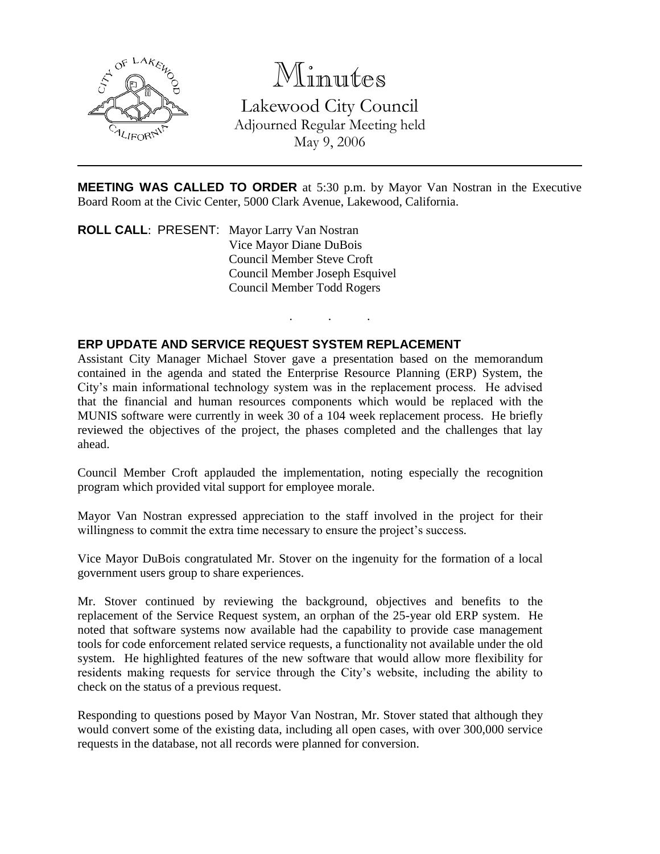

Minutes

Lakewood City Council Adjourned Regular Meeting held May 9, 2006

**MEETING WAS CALLED TO ORDER** at 5:30 p.m. by Mayor Van Nostran in the Executive Board Room at the Civic Center, 5000 Clark Avenue, Lakewood, California.

. . .

**ROLL CALL**: PRESENT: Mayor Larry Van Nostran Vice Mayor Diane DuBois Council Member Steve Croft Council Member Joseph Esquivel Council Member Todd Rogers

## **ERP UPDATE AND SERVICE REQUEST SYSTEM REPLACEMENT**

Assistant City Manager Michael Stover gave a presentation based on the memorandum contained in the agenda and stated the Enterprise Resource Planning (ERP) System, the City's main informational technology system was in the replacement process. He advised that the financial and human resources components which would be replaced with the MUNIS software were currently in week 30 of a 104 week replacement process. He briefly reviewed the objectives of the project, the phases completed and the challenges that lay ahead.

Council Member Croft applauded the implementation, noting especially the recognition program which provided vital support for employee morale.

Mayor Van Nostran expressed appreciation to the staff involved in the project for their willingness to commit the extra time necessary to ensure the project's success.

Vice Mayor DuBois congratulated Mr. Stover on the ingenuity for the formation of a local government users group to share experiences.

Mr. Stover continued by reviewing the background, objectives and benefits to the replacement of the Service Request system, an orphan of the 25-year old ERP system. He noted that software systems now available had the capability to provide case management tools for code enforcement related service requests, a functionality not available under the old system. He highlighted features of the new software that would allow more flexibility for residents making requests for service through the City's website, including the ability to check on the status of a previous request.

Responding to questions posed by Mayor Van Nostran, Mr. Stover stated that although they would convert some of the existing data, including all open cases, with over 300,000 service requests in the database, not all records were planned for conversion.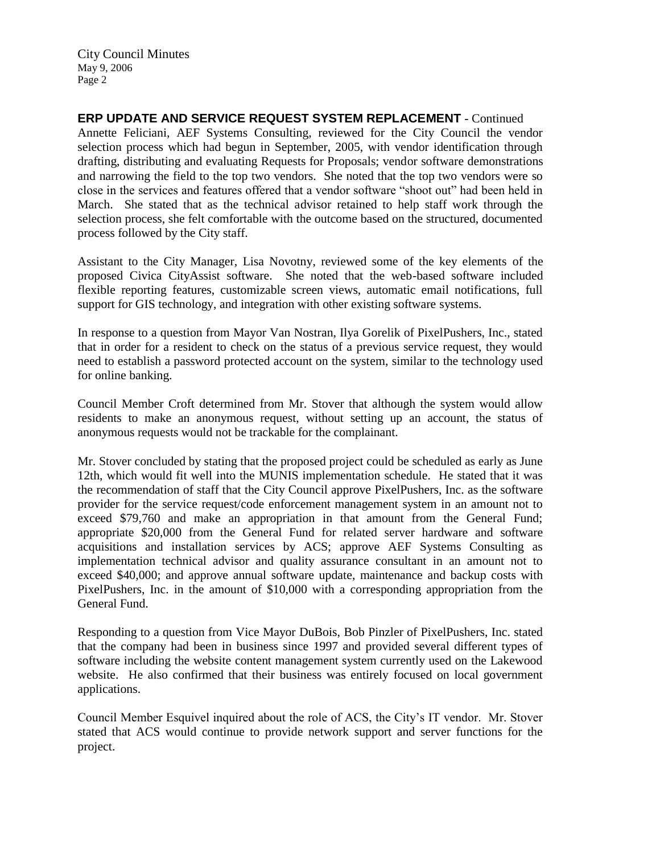City Council Minutes May 9, 2006 Page 2

**ERP UPDATE AND SERVICE REQUEST SYSTEM REPLACEMENT** - Continued Annette Feliciani, AEF Systems Consulting, reviewed for the City Council the vendor selection process which had begun in September, 2005, with vendor identification through drafting, distributing and evaluating Requests for Proposals; vendor software demonstrations and narrowing the field to the top two vendors. She noted that the top two vendors were so close in the services and features offered that a vendor software "shoot out" had been held in March. She stated that as the technical advisor retained to help staff work through the selection process, she felt comfortable with the outcome based on the structured, documented process followed by the City staff.

Assistant to the City Manager, Lisa Novotny, reviewed some of the key elements of the proposed Civica CityAssist software. She noted that the web-based software included flexible reporting features, customizable screen views, automatic email notifications, full support for GIS technology, and integration with other existing software systems.

In response to a question from Mayor Van Nostran, Ilya Gorelik of PixelPushers, Inc., stated that in order for a resident to check on the status of a previous service request, they would need to establish a password protected account on the system, similar to the technology used for online banking.

Council Member Croft determined from Mr. Stover that although the system would allow residents to make an anonymous request, without setting up an account, the status of anonymous requests would not be trackable for the complainant.

Mr. Stover concluded by stating that the proposed project could be scheduled as early as June 12th, which would fit well into the MUNIS implementation schedule. He stated that it was the recommendation of staff that the City Council approve PixelPushers, Inc. as the software provider for the service request/code enforcement management system in an amount not to exceed \$79,760 and make an appropriation in that amount from the General Fund; appropriate \$20,000 from the General Fund for related server hardware and software acquisitions and installation services by ACS; approve AEF Systems Consulting as implementation technical advisor and quality assurance consultant in an amount not to exceed \$40,000; and approve annual software update, maintenance and backup costs with PixelPushers, Inc. in the amount of \$10,000 with a corresponding appropriation from the General Fund.

Responding to a question from Vice Mayor DuBois, Bob Pinzler of PixelPushers, Inc. stated that the company had been in business since 1997 and provided several different types of software including the website content management system currently used on the Lakewood website. He also confirmed that their business was entirely focused on local government applications.

Council Member Esquivel inquired about the role of ACS, the City's IT vendor. Mr. Stover stated that ACS would continue to provide network support and server functions for the project.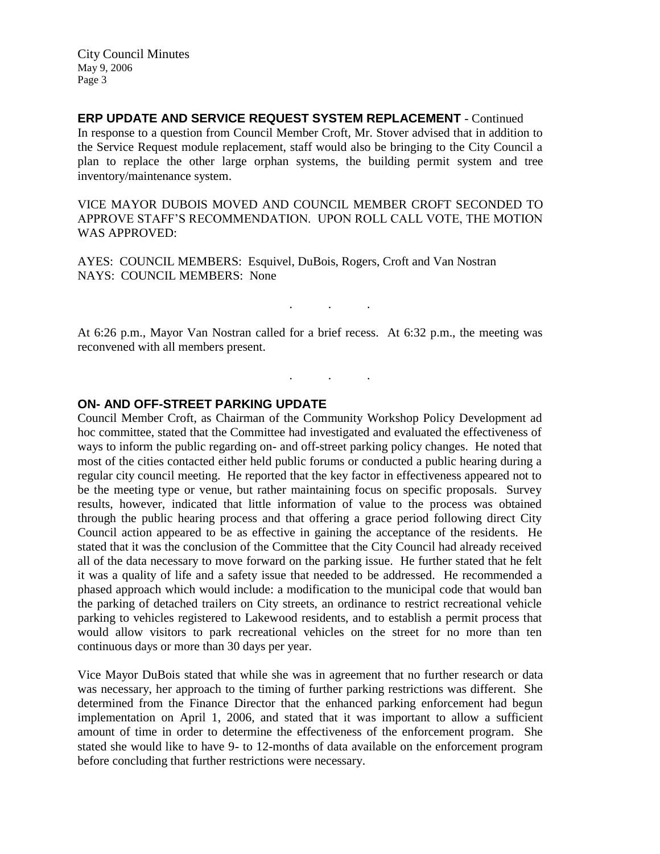City Council Minutes May 9, 2006 Page 3

**ERP UPDATE AND SERVICE REQUEST SYSTEM REPLACEMENT** - Continued In response to a question from Council Member Croft, Mr. Stover advised that in addition to the Service Request module replacement, staff would also be bringing to the City Council a plan to replace the other large orphan systems, the building permit system and tree inventory/maintenance system.

VICE MAYOR DUBOIS MOVED AND COUNCIL MEMBER CROFT SECONDED TO APPROVE STAFF'S RECOMMENDATION. UPON ROLL CALL VOTE, THE MOTION WAS APPROVED:

AYES: COUNCIL MEMBERS: Esquivel, DuBois, Rogers, Croft and Van Nostran NAYS: COUNCIL MEMBERS: None

At 6:26 p.m., Mayor Van Nostran called for a brief recess. At 6:32 p.m., the meeting was reconvened with all members present.

. . .

. . .

## **ON- AND OFF-STREET PARKING UPDATE**

Council Member Croft, as Chairman of the Community Workshop Policy Development ad hoc committee, stated that the Committee had investigated and evaluated the effectiveness of ways to inform the public regarding on- and off-street parking policy changes. He noted that most of the cities contacted either held public forums or conducted a public hearing during a regular city council meeting. He reported that the key factor in effectiveness appeared not to be the meeting type or venue, but rather maintaining focus on specific proposals. Survey results, however, indicated that little information of value to the process was obtained through the public hearing process and that offering a grace period following direct City Council action appeared to be as effective in gaining the acceptance of the residents. He stated that it was the conclusion of the Committee that the City Council had already received all of the data necessary to move forward on the parking issue. He further stated that he felt it was a quality of life and a safety issue that needed to be addressed. He recommended a phased approach which would include: a modification to the municipal code that would ban the parking of detached trailers on City streets, an ordinance to restrict recreational vehicle parking to vehicles registered to Lakewood residents, and to establish a permit process that would allow visitors to park recreational vehicles on the street for no more than ten continuous days or more than 30 days per year.

Vice Mayor DuBois stated that while she was in agreement that no further research or data was necessary, her approach to the timing of further parking restrictions was different. She determined from the Finance Director that the enhanced parking enforcement had begun implementation on April 1, 2006, and stated that it was important to allow a sufficient amount of time in order to determine the effectiveness of the enforcement program. She stated she would like to have 9- to 12-months of data available on the enforcement program before concluding that further restrictions were necessary.